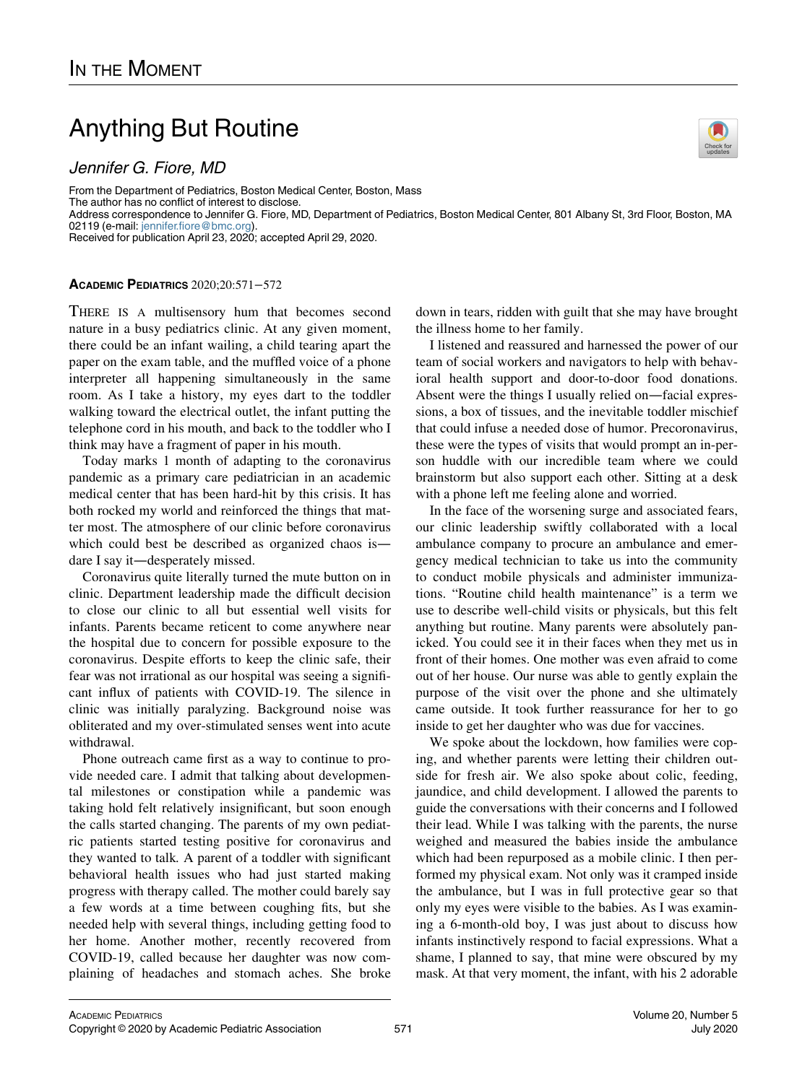## Anything But Routine

Jennifer G. Fiore, MD

From the Department of Pediatrics, Boston Medical Center, Boston, Mass The author has no conflict of interest to disclose. Address correspondence to Jennifer G. Fiore, MD, Department of Pediatrics, Boston Medical Center, 801 Albany St, 3rd Floor, Boston, MA 02119 (e-mail: [jennifer.fiore@bmc.org](mailto:jennifer.fiore@bmc.org)). Received for publication April 23, 2020; accepted April 29, 2020.

## ACADEMIC PEDIATRICS 2020;20:571−572

THERE IS A multisensory hum that becomes second nature in a busy pediatrics clinic. At any given moment, there could be an infant wailing, a child tearing apart the paper on the exam table, and the muffled voice of a phone interpreter all happening simultaneously in the same room. As I take a history, my eyes dart to the toddler walking toward the electrical outlet, the infant putting the telephone cord in his mouth, and back to the toddler who I think may have a fragment of paper in his mouth.

Today marks 1 month of adapting to the coronavirus pandemic as a primary care pediatrician in an academic medical center that has been hard-hit by this crisis. It has both rocked my world and reinforced the things that matter most. The atmosphere of our clinic before coronavirus which could best be described as organized chaos is dare I say it—desperately missed.

Coronavirus quite literally turned the mute button on in clinic. Department leadership made the difficult decision to close our clinic to all but essential well visits for infants. Parents became reticent to come anywhere near the hospital due to concern for possible exposure to the coronavirus. Despite efforts to keep the clinic safe, their fear was not irrational as our hospital was seeing a significant influx of patients with COVID-19. The silence in clinic was initially paralyzing. Background noise was obliterated and my over-stimulated senses went into acute withdrawal.

Phone outreach came first as a way to continue to provide needed care. I admit that talking about developmental milestones or constipation while a pandemic was taking hold felt relatively insignificant, but soon enough the calls started changing. The parents of my own pediatric patients started testing positive for coronavirus and they wanted to talk. A parent of a toddler with significant behavioral health issues who had just started making progress with therapy called. The mother could barely say a few words at a time between coughing fits, but she needed help with several things, including getting food to her home. Another mother, recently recovered from COVID-19, called because her daughter was now complaining of headaches and stomach aches. She broke down in tears, ridden with guilt that she may have brought the illness home to her family.

I listened and reassured and harnessed the power of our team of social workers and navigators to help with behavioral health support and door-to-door food donations. Absent were the things I usually relied on—facial expressions, a box of tissues, and the inevitable toddler mischief that could infuse a needed dose of humor. Precoronavirus, these were the types of visits that would prompt an in-person huddle with our incredible team where we could brainstorm but also support each other. Sitting at a desk with a phone left me feeling alone and worried.

In the face of the worsening surge and associated fears, our clinic leadership swiftly collaborated with a local ambulance company to procure an ambulance and emergency medical technician to take us into the community to conduct mobile physicals and administer immunizations. "Routine child health maintenance" is a term we use to describe well-child visits or physicals, but this felt anything but routine. Many parents were absolutely panicked. You could see it in their faces when they met us in front of their homes. One mother was even afraid to come out of her house. Our nurse was able to gently explain the purpose of the visit over the phone and she ultimately came outside. It took further reassurance for her to go inside to get her daughter who was due for vaccines.

We spoke about the lockdown, how families were coping, and whether parents were letting their children outside for fresh air. We also spoke about colic, feeding, jaundice, and child development. I allowed the parents to guide the conversations with their concerns and I followed their lead. While I was talking with the parents, the nurse weighed and measured the babies inside the ambulance which had been repurposed as a mobile clinic. I then performed my physical exam. Not only was it cramped inside the ambulance, but I was in full protective gear so that only my eyes were visible to the babies. As I was examining a 6-month-old boy, I was just about to discuss how infants instinctively respond to facial expressions. What a shame, I planned to say, that mine were obscured by my mask. At that very moment, the infant, with his 2 adorable